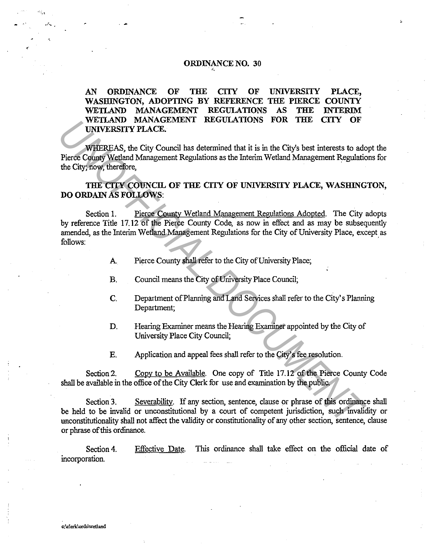## ORDINANCE NO. 30

 $\sim$ 

## AN ORDINANCE OF THE CITY OF UNIVERSITY PLACE, WASHINGTON, ADOPTING BY REFERENCE THE PIERCE COUNTY WETLAND MANAGEMENT REGULATIONS AS THE INTERIM WETLAND MANAGEMENT REGULATIONS FOR THE CITY OF UNIVERSITY PLACE.

WHEREAS, the City Council has determined that it is in the City's best interests to adopt the Pierce County Wetland Management Regulations as the Interim Wetland Management Regulations for the City; now, therefore,

THE CITY COUNCIL OF THE CITY OF UNIVERSITY PLACE, WASHINGTON, DO ORDAIN AS FOLLOWS:

Section 1. Pierce County Wetland Management Regulations Adopted. The City adopts by reference Title 17.12 of the Pierce County Code, as now in effect and as may be subsequently amended, as the Interim Wetland Management Regulations for the City of University Place, except as follows: **UNIVERSITY PLACE.**<br> **WHEREAS** the City Council has determined that it is in the City's best interests to ade<br>
Pierce Coonty Welland Management Regulations as the Interim Welland Management Regulation<br>
the City's ocy, ther

- A Pierce County shall refer to the City of University Place;
- B. Council means the City of University Place Council;
- C. Department of Planning and Land Services shall refer to the City's Planning Department;
- D. Hearing Examiner means the Hearing Examiner appointed by the City of University Place City Council;
- E. Application and appeal fees shall refer to the City's fee resolution.

Section 2. Copy to be Available. One copy of Title 17.12 of the Pierce County Code shall be available in the office of the City Clerk for use and examination by the public.

Section 3. Severability. If any section, sentence, clause or phrase of this ordinance shall be held to be invalid or unconstitutional by a court of competent jurisdiction, such invalidity or unconstitutionality shall not affect the validity or constitutionality of any other section, sentence, clause or phrase of this ordinance.

Section 4. incorporation. Effective Date. This ordinance shall take effect on the official date of

 $\cdot$  .  $\mathcal{L}_{\bullet}$ 

,.